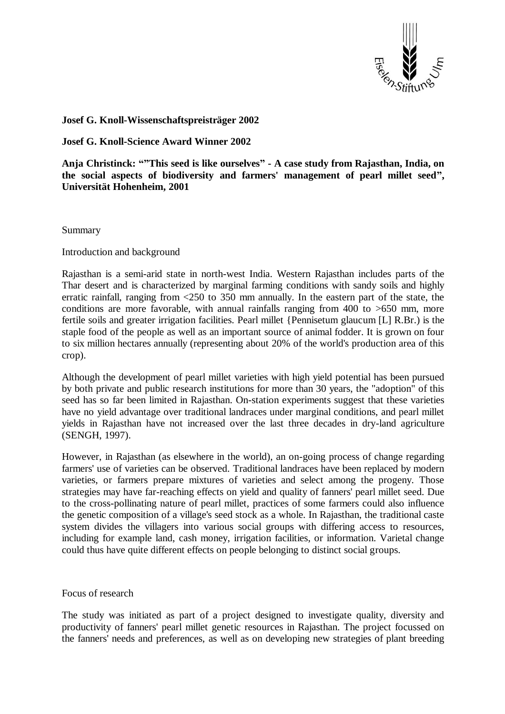

# **Josef G. Knoll-Wissenschaftspreisträger 2002**

**Josef G. Knoll-Science Award Winner 2002**

**Anja Christinck: ""This seed is like ourselves" - A case study from Rajasthan, India, on the social aspects of biodiversity and farmers' management of pearl millet seed", Universität Hohenheim, 2001**

**Summary** 

Introduction and background

Rajasthan is a semi-arid state in north-west India. Western Rajasthan includes parts of the Thar desert and is characterized by marginal farming conditions with sandy soils and highly erratic rainfall, ranging from <250 to 350 mm annually. In the eastern part of the state, the conditions are more favorable, with annual rainfalls ranging from  $400$  to  $>650$  mm, more fertile soils and greater irrigation facilities. Pearl millet {Pennisetum glaucum [L] R.Br.) is the staple food of the people as well as an important source of animal fodder. It is grown on four to six million hectares annually (representing about 20% of the world's production area of this crop).

Although the development of pearl millet varieties with high yield potential has been pursued by both private and public research institutions for more than 30 years, the "adoption" of this seed has so far been limited in Rajasthan. On-station experiments suggest that these varieties have no yield advantage over traditional landraces under marginal conditions, and pearl millet yields in Rajasthan have not increased over the last three decades in dry-land agriculture (SENGH, 1997).

However, in Rajasthan (as elsewhere in the world), an on-going process of change regarding farmers' use of varieties can be observed. Traditional landraces have been replaced by modern varieties, or farmers prepare mixtures of varieties and select among the progeny. Those strategies may have far-reaching effects on yield and quality of fanners' pearl millet seed. Due to the cross-pollinating nature of pearl millet, practices of some farmers could also influence the genetic composition of a village's seed stock as a whole. In Rajasthan, the traditional caste system divides the villagers into various social groups with differing access to resources, including for example land, cash money, irrigation facilities, or information. Varietal change could thus have quite different effects on people belonging to distinct social groups.

Focus of research

The study was initiated as part of a project designed to investigate quality, diversity and productivity of fanners' pearl millet genetic resources in Rajasthan. The project focussed on the fanners' needs and preferences, as well as on developing new strategies of plant breeding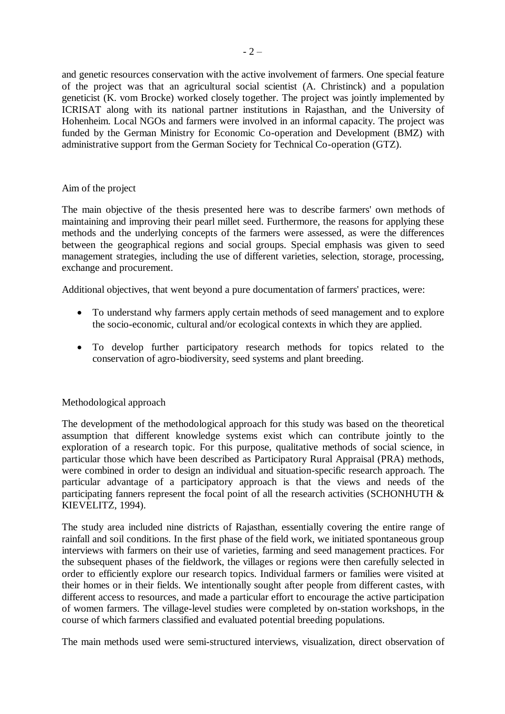and genetic resources conservation with the active involvement of farmers. One special feature of the project was that an agricultural social scientist (A. Christinck) and a population geneticist (K. vom Brocke) worked closely together. The project was jointly implemented by ICRISAT along with its national partner institutions in Rajasthan, and the University of Hohenheim. Local NGOs and farmers were involved in an informal capacity. The project was funded by the German Ministry for Economic Co-operation and Development (BMZ) with administrative support from the German Society for Technical Co-operation (GTZ).

## Aim of the project

The main objective of the thesis presented here was to describe farmers' own methods of maintaining and improving their pearl millet seed. Furthermore, the reasons for applying these methods and the underlying concepts of the farmers were assessed, as were the differences between the geographical regions and social groups. Special emphasis was given to seed management strategies, including the use of different varieties, selection, storage, processing, exchange and procurement.

Additional objectives, that went beyond a pure documentation of farmers' practices, were:

- To understand why farmers apply certain methods of seed management and to explore the socio-economic, cultural and/or ecological contexts in which they are applied.
- To develop further participatory research methods for topics related to the conservation of agro-biodiversity, seed systems and plant breeding.

## Methodological approach

The development of the methodological approach for this study was based on the theoretical assumption that different knowledge systems exist which can contribute jointly to the exploration of a research topic. For this purpose, qualitative methods of social science, in particular those which have been described as Participatory Rural Appraisal (PRA) methods, were combined in order to design an individual and situation-specific research approach. The particular advantage of a participatory approach is that the views and needs of the participating fanners represent the focal point of all the research activities (SCHONHUTH & KIEVELITZ, 1994).

The study area included nine districts of Rajasthan, essentially covering the entire range of rainfall and soil conditions. In the first phase of the field work, we initiated spontaneous group interviews with farmers on their use of varieties, farming and seed management practices. For the subsequent phases of the fieldwork, the villages or regions were then carefully selected in order to efficiently explore our research topics. Individual farmers or families were visited at their homes or in their fields. We intentionally sought after people from different castes, with different access to resources, and made a particular effort to encourage the active participation of women farmers. The village-level studies were completed by on-station workshops, in the course of which farmers classified and evaluated potential breeding populations.

The main methods used were semi-structured interviews, visualization, direct observation of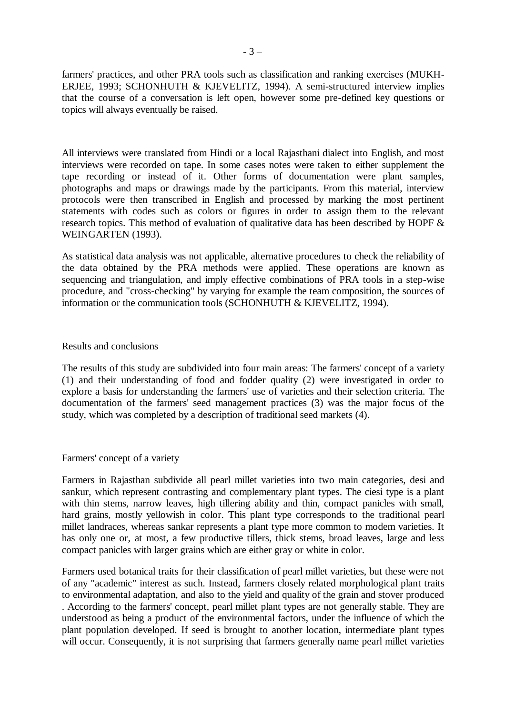farmers' practices, and other PRA tools such as classification and ranking exercises (MUKH-ERJEE, 1993; SCHONHUTH & KJEVELITZ, 1994). A semi-structured interview implies that the course of a conversation is left open, however some pre-defined key questions or topics will always eventually be raised.

All interviews were translated from Hindi or a local Rajasthani dialect into English, and most interviews were recorded on tape. In some cases notes were taken to either supplement the tape recording or instead of it. Other forms of documentation were plant samples, photographs and maps or drawings made by the participants. From this material, interview protocols were then transcribed in English and processed by marking the most pertinent statements with codes such as colors or figures in order to assign them to the relevant research topics. This method of evaluation of qualitative data has been described by HOPF & WEINGARTEN (1993).

As statistical data analysis was not applicable, alternative procedures to check the reliability of the data obtained by the PRA methods were applied. These operations are known as sequencing and triangulation, and imply effective combinations of PRA tools in a step-wise procedure, and "cross-checking" by varying for example the team composition, the sources of information or the communication tools (SCHONHUTH & KJEVELITZ, 1994).

### Results and conclusions

The results of this study are subdivided into four main areas: The farmers' concept of a variety (1) and their understanding of food and fodder quality (2) were investigated in order to explore a basis for understanding the farmers' use of varieties and their selection criteria. The documentation of the farmers' seed management practices (3) was the major focus of the study, which was completed by a description of traditional seed markets (4).

#### Farmers' concept of a variety

Farmers in Rajasthan subdivide all pearl millet varieties into two main categories, desi and sankur, which represent contrasting and complementary plant types. The ciesi type is a plant with thin stems, narrow leaves, high tillering ability and thin, compact panicles with small, hard grains, mostly yellowish in color. This plant type corresponds to the traditional pearl millet landraces, whereas sankar represents a plant type more common to modem varieties. It has only one or, at most, a few productive tillers, thick stems, broad leaves, large and less compact panicles with larger grains which are either gray or white in color.

Farmers used botanical traits for their classification of pearl millet varieties, but these were not of any "academic" interest as such. Instead, farmers closely related morphological plant traits to environmental adaptation, and also to the yield and quality of the grain and stover produced . According to the farmers' concept, pearl millet plant types are not generally stable. They are understood as being a product of the environmental factors, under the influence of which the plant population developed. If seed is brought to another location, intermediate plant types will occur. Consequently, it is not surprising that farmers generally name pearl millet varieties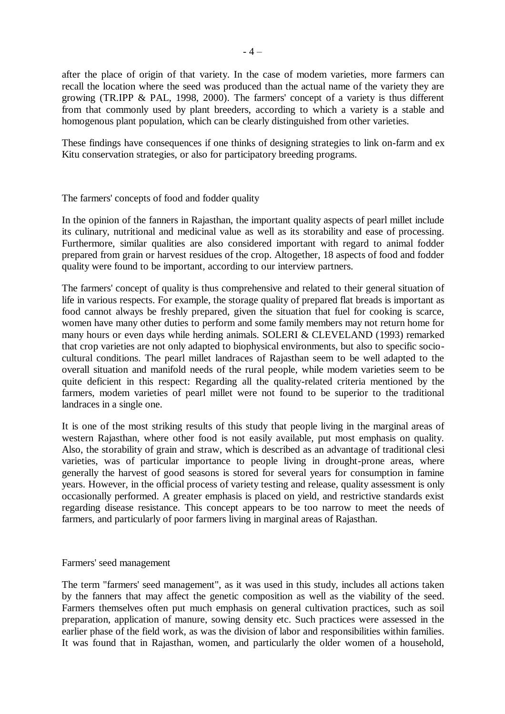after the place of origin of that variety. In the case of modem varieties, more farmers can recall the location where the seed was produced than the actual name of the variety they are growing (TR.IPP & PAL, 1998, 2000). The farmers' concept of a variety is thus different from that commonly used by plant breeders, according to which a variety is a stable and homogenous plant population, which can be clearly distinguished from other varieties.

These findings have consequences if one thinks of designing strategies to link on-farm and ex Kitu conservation strategies, or also for participatory breeding programs.

## The farmers' concepts of food and fodder quality

In the opinion of the fanners in Rajasthan, the important quality aspects of pearl millet include its culinary, nutritional and medicinal value as well as its storability and ease of processing. Furthermore, similar qualities are also considered important with regard to animal fodder prepared from grain or harvest residues of the crop. Altogether, 18 aspects of food and fodder quality were found to be important, according to our interview partners.

The farmers' concept of quality is thus comprehensive and related to their general situation of life in various respects. For example, the storage quality of prepared flat breads is important as food cannot always be freshly prepared, given the situation that fuel for cooking is scarce, women have many other duties to perform and some family members may not return home for many hours or even days while herding animals. SOLERI & CLEVELAND (1993) remarked that crop varieties are not only adapted to biophysical environments, but also to specific sociocultural conditions. The pearl millet landraces of Rajasthan seem to be well adapted to the overall situation and manifold needs of the rural people, while modem varieties seem to be quite deficient in this respect: Regarding all the quality-related criteria mentioned by the farmers, modem varieties of pearl millet were not found to be superior to the traditional landraces in a single one.

It is one of the most striking results of this study that people living in the marginal areas of western Rajasthan, where other food is not easily available, put most emphasis on quality. Also, the storability of grain and straw, which is described as an advantage of traditional clesi varieties, was of particular importance to people living in drought-prone areas, where generally the harvest of good seasons is stored for several years for consumption in famine years. However, in the official process of variety testing and release, quality assessment is only occasionally performed. A greater emphasis is placed on yield, and restrictive standards exist regarding disease resistance. This concept appears to be too narrow to meet the needs of farmers, and particularly of poor farmers living in marginal areas of Rajasthan.

#### Farmers' seed management

The term "farmers' seed management", as it was used in this study, includes all actions taken by the fanners that may affect the genetic composition as well as the viability of the seed. Farmers themselves often put much emphasis on general cultivation practices, such as soil preparation, application of manure, sowing density etc. Such practices were assessed in the earlier phase of the field work, as was the division of labor and responsibilities within families. It was found that in Rajasthan, women, and particularly the older women of a household,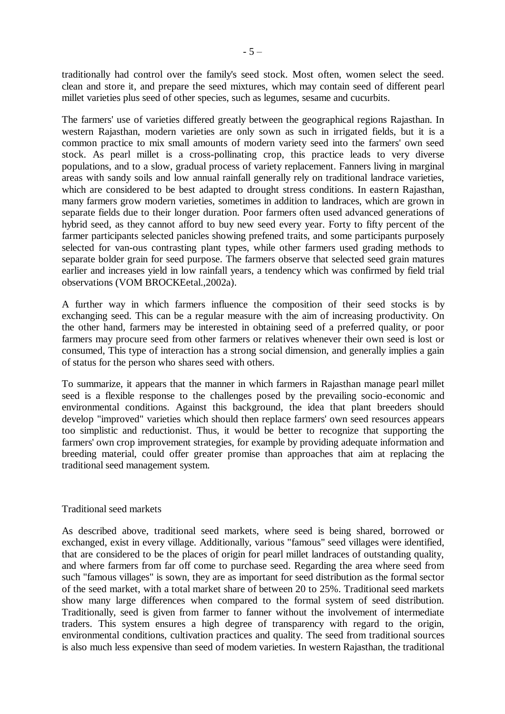traditionally had control over the family's seed stock. Most often, women select the seed. clean and store it, and prepare the seed mixtures, which may contain seed of different pearl millet varieties plus seed of other species, such as legumes, sesame and cucurbits.

The farmers' use of varieties differed greatly between the geographical regions Rajasthan. In western Rajasthan, modern varieties are only sown as such in irrigated fields, but it is a common practice to mix small amounts of modern variety seed into the farmers' own seed stock. As pearl millet is a cross-pollinating crop, this practice leads to very diverse populations, and to a slow, gradual process of variety replacement. Fanners living in marginal areas with sandy soils and low annual rainfall generally rely on traditional landrace varieties, which are considered to be best adapted to drought stress conditions. In eastern Rajasthan, many farmers grow modern varieties, sometimes in addition to landraces, which are grown in separate fields due to their longer duration. Poor farmers often used advanced generations of hybrid seed, as they cannot afford to buy new seed every year. Forty to fifty percent of the farmer participants selected panicles showing prefened traits, and some participants purposely selected for van-ous contrasting plant types, while other farmers used grading methods to separate bolder grain for seed purpose. The farmers observe that selected seed grain matures earlier and increases yield in low rainfall years, a tendency which was confirmed by field trial observations (VOM BROCKEetal.,2002a).

A further way in which farmers influence the composition of their seed stocks is by exchanging seed. This can be a regular measure with the aim of increasing productivity. On the other hand, farmers may be interested in obtaining seed of a preferred quality, or poor farmers may procure seed from other farmers or relatives whenever their own seed is lost or consumed, This type of interaction has a strong social dimension, and generally implies a gain of status for the person who shares seed with others.

To summarize, it appears that the manner in which farmers in Rajasthan manage pearl millet seed is a flexible response to the challenges posed by the prevailing socio-economic and environmental conditions. Against this background, the idea that plant breeders should develop "improved" varieties which should then replace farmers' own seed resources appears too simplistic and reductionist. Thus, it would be better to recognize that supporting the farmers' own crop improvement strategies, for example by providing adequate information and breeding material, could offer greater promise than approaches that aim at replacing the traditional seed management system.

## Traditional seed markets

As described above, traditional seed markets, where seed is being shared, borrowed or exchanged, exist in every village. Additionally, various "famous" seed villages were identified, that are considered to be the places of origin for pearl millet landraces of outstanding quality, and where farmers from far off come to purchase seed. Regarding the area where seed from such "famous villages" is sown, they are as important for seed distribution as the formal sector of the seed market, with a total market share of between 20 to 25%. Traditional seed markets show many large differences when compared to the formal system of seed distribution. Traditionally, seed is given from farmer to fanner without the involvement of intermediate traders. This system ensures a high degree of transparency with regard to the origin, environmental conditions, cultivation practices and quality. The seed from traditional sources is also much less expensive than seed of modem varieties. In western Rajasthan, the traditional